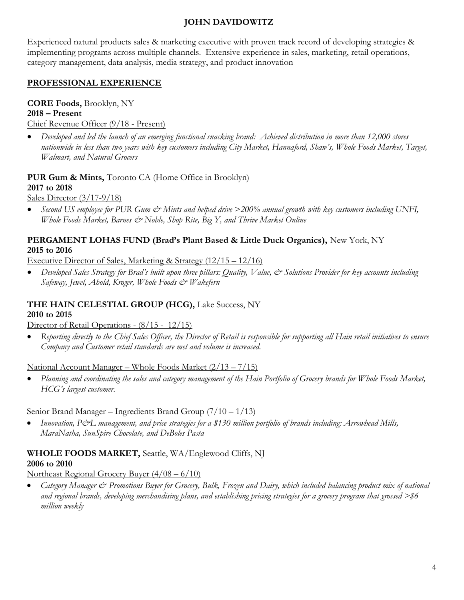### JOHN DAVIDOWITZ

Experienced natural products sales & marketing executive with proven track record of developing strategies & implementing programs across multiple channels. Extensive experience in sales, marketing, retail operations, category management, data analysis, media strategy, and product innovation

# PROFESSIONAL EXPERIENCE

# CORE Foods, Brooklyn, NY

#### 2018 – Present

Chief Revenue Officer (9/18 - Present)

 Developed and led the launch of an emerging functional snacking brand: Achieved distribution in more than 12,000 stores nationwide in less than two years with key customers including City Market, Hannaford, Shaw's, Whole Foods Market, Target, Walmart, and Natural Grocers

PUR Gum & Mints, Toronto CA (Home Office in Brooklyn) 2017 to 2018

Sales Director (3/17-9/18)

• Second US employee for PUR Gum & Mints and helped drive >200% annual growth with key customers including UNFI, Whole Foods Market, Barnes  $\mathcal{Q}$  Noble, Shop Rite, Big Y, and Thrive Market Online

# PERGAMENT LOHAS FUND (Brad's Plant Based & Little Duck Organics), New York, NY 2015 to 2016

Executive Director of Sales, Marketing & Strategy (12/15 – 12/16)

Developed Sales Strategy for Brad's built upon three pillars: Quality, Value, & Solutions Provider for key accounts including Safeway, Jewel, Ahold, Kroger, Whole Foods  $\mathcal{Q}$  Wakefern

#### THE HAIN CELESTIAL GROUP (HCG), Lake Success, NY 2010 to 2015

Director of Retail Operations -  $\left(\frac{8}{15} - \frac{12}{15}\right)$ 

 Reporting directly to the Chief Sales Officer, the Director of Retail is responsible for supporting all Hain retail initiatives to ensure Company and Customer retail standards are met and volume is increased.

### National Account Manager – Whole Foods Market (2/13 – 7/15)

• Planning and coordinating the sales and category management of the Hain Portfolio of Grocery brands for Whole Foods Market, HCG's largest customer.

### Senior Brand Manager – Ingredients Brand Group (7/10 – 1/13)

Innovation, P&L management, and price strategies for a \$130 million portfolio of brands including: Arrowhead Mills, MaraNatha, SunSpire Chocolate, and DeBoles Pasta

#### WHOLE FOODS MARKET, Seattle, WA/Englewood Cliffs, NJ 2006 to 2010

Northeast Regional Grocery Buyer (4/08 – 6/10)

Category Manager & Promotions Buyer for Grocery, Bulk, Frozen and Dairy, which included balancing product mix of national and regional brands, developing merchandising plans, and establishing pricing strategies for a grocery program that grossed  $\gg$  6 million weekly